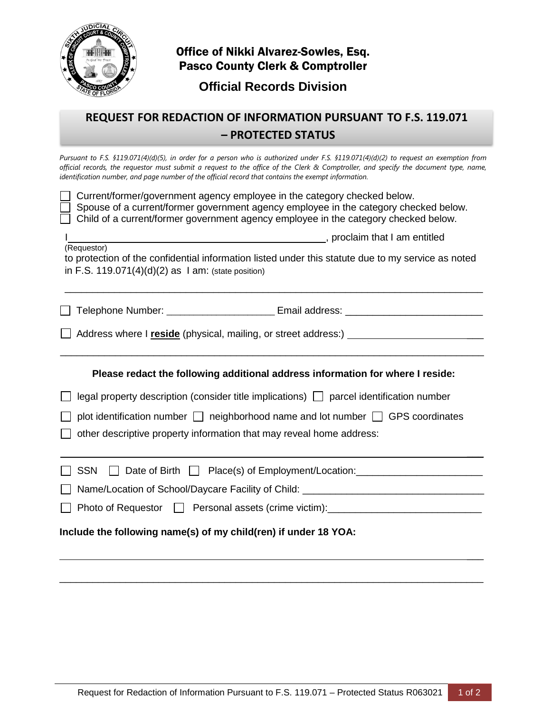

## Office of Nikki Alvarez-Sowles, Esq. Pasco County Clerk & Comptroller

**Official Records Division**

# **REQUEST FOR REDACTION OF INFORMATION PURSUANT TO F.S. 119.071 – PROTECTED STATUS**

*Pursuant to F.S. §119.071(4)(d)(5), in order for a person who is authorized under F.S. §119.071(4)(d)(2) to request an exemption from official records, the requestor must submit a request to the office of the Clerk & Comptroller, and specify the document type, name, identification number, and page number of the official record that contains the exempt information.*

| Current/former/government agency employee in the category checked below.             |
|--------------------------------------------------------------------------------------|
| Spouse of a current/former government agency employee in the category checked below. |
| Child of a current/former government agency employee in the category checked below.  |

| (Requestor)                                                                                        |
|----------------------------------------------------------------------------------------------------|
| to protection of the confidential information listed under this statute due to my service as noted |
| in F.S. $119.071(4)(d)(2)$ as 1 am: (state position)                                               |

\_\_\_\_\_\_\_\_\_\_\_\_\_\_\_\_\_\_\_\_\_\_\_\_\_\_\_\_\_\_\_\_\_\_\_\_\_\_\_\_\_\_\_\_\_\_\_\_\_\_\_\_\_\_\_\_\_\_\_\_\_\_\_\_\_\_\_\_\_\_\_\_\_\_\_\_

I reduced by proclaim that I am entitled

 $\overline{\phantom{a}}$ 

 $\overline{\phantom{a}}$ 

**□ Telephone Number: \_\_\_\_\_\_\_\_\_\_\_\_\_\_\_\_\_\_\_\_\_\_\_ Email address: \_\_\_\_\_\_\_\_\_\_\_\_\_\_\_\_\_\_\_\_\_\_\_\_** 

| Address where I reside (physical, mailing, or street address:) |  |
|----------------------------------------------------------------|--|
|----------------------------------------------------------------|--|

#### **Please redact the following additional address information for where I reside:**

 $\mathcal{L}_\mathcal{L} = \mathcal{L}_\mathcal{L} = \mathcal{L}_\mathcal{L} = \mathcal{L}_\mathcal{L} = \mathcal{L}_\mathcal{L} = \mathcal{L}_\mathcal{L} = \mathcal{L}_\mathcal{L} = \mathcal{L}_\mathcal{L} = \mathcal{L}_\mathcal{L} = \mathcal{L}_\mathcal{L} = \mathcal{L}_\mathcal{L} = \mathcal{L}_\mathcal{L} = \mathcal{L}_\mathcal{L} = \mathcal{L}_\mathcal{L} = \mathcal{L}_\mathcal{L} = \mathcal{L}_\mathcal{L} = \mathcal{L}_\mathcal{L}$ 

|  |  | $\Box$ legal property description (consider title implications) $\Box$ parcel identification number |
|--|--|-----------------------------------------------------------------------------------------------------|
|  |  |                                                                                                     |

|  | $\Box$ plot identification number $\Box$ |  | $\Box$ neighborhood name and lot number $\Box$ GPS coordinates |  |  |
|--|------------------------------------------|--|----------------------------------------------------------------|--|--|
|--|------------------------------------------|--|----------------------------------------------------------------|--|--|

**T** other descriptive property information that may reveal home address:

| SSN Date of Birth D Place(s) of Employment/Location: |  |
|------------------------------------------------------|--|
|------------------------------------------------------|--|

 $\_$  , and the contribution of the contribution of the contribution of the contribution of  $\mathcal{L}_\text{max}$ 

| Name/Location of School/Daycare Facility of Child: |
|----------------------------------------------------|
|----------------------------------------------------|

Photo of Requestor  $\Box$  Personal assets (crime victim): \_\_\_\_\_\_\_\_\_\_\_\_\_\_\_\_\_\_\_\_\_\_\_\_

### **Include the following name(s) of my child(ren) if under 18 YOA:**